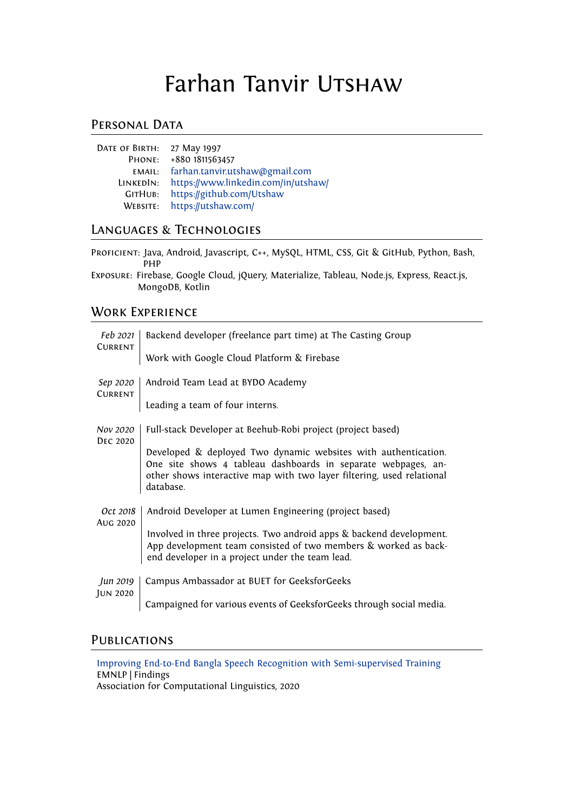# Farhan Tanvir UTSHAW

## PERSONAL DATA

| DATE OF BIRTH: 27 May 1997 |                                       |
|----------------------------|---------------------------------------|
| PHONE:                     | +880 1811563457                       |
|                            | EMAIL: farhan.tanvir.utshaw@gmail.com |
| LINKEDIN:                  | https://www.linkedin.com/in/utshaw/   |
| GITHUB:                    | https://github.com/Utshaw             |
|                            | WEBSITE: https://utshaw.com/          |
|                            |                                       |

# Languages & Technologies

Proficient: Java, Android, Javascript, C++, MySQL, HTML, CSS, Git & GitHub, Python, Bash, PHP

Exposure: Firebase, Google Cloud, jQuery, Materialize, Tableau, Node.js, Express, React.js, MongoDB, Kotlin

# Work Experience

| Feb 2021<br><b>CURRENT</b>  | Backend developer (freelance part time) at The Casting Group                                                                                                                                                          |
|-----------------------------|-----------------------------------------------------------------------------------------------------------------------------------------------------------------------------------------------------------------------|
|                             | Work with Google Cloud Platform & Firebase                                                                                                                                                                            |
| Sep 2020<br><b>CURRENT</b>  | Android Team Lead at BYDO Academy                                                                                                                                                                                     |
|                             | Leading a team of four interns.                                                                                                                                                                                       |
| Nov 2020<br><b>DEC 2020</b> | Full-stack Developer at Beehub-Robi project (project based)                                                                                                                                                           |
|                             | Developed & deployed Two dynamic websites with authentication.<br>One site shows 4 tableau dashboards in separate webpages, an-<br>other shows interactive map with two layer filtering, used relational<br>database. |
| Oct 2018                    | Android Developer at Lumen Engineering (project based)                                                                                                                                                                |
| AUG 2020                    | Involved in three projects. Two android apps & backend development.<br>App development team consisted of two members & worked as back-<br>end developer in a project under the team lead.                             |
| Jun 2019                    | Campus Ambassador at BUET for GeeksforGeeks                                                                                                                                                                           |
| <b>JUN 2020</b>             | Campaigned for various events of GeeksforGeeks through social media.                                                                                                                                                  |

## **PUBLICATIONS**

[Improving End-to-End Bangla Speech Recognition with Semi-supervised Training](https://www.aclweb.org/anthology/2020.findings-emnlp.169/) EMNLP | Findings Association for Computational Linguistics, 2020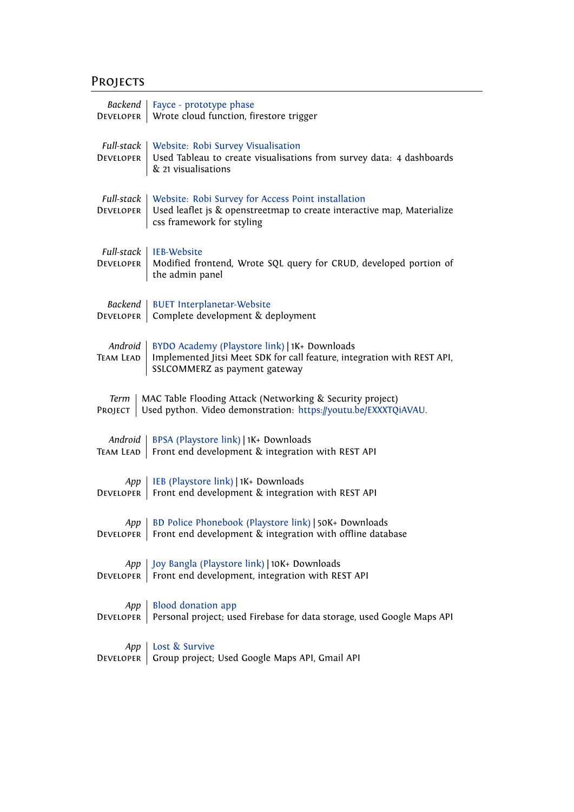# Projects

| <b>Backend</b>                                                                                                                                  | Fayce - prototype phase                                                                                                                                   |  |
|-------------------------------------------------------------------------------------------------------------------------------------------------|-----------------------------------------------------------------------------------------------------------------------------------------------------------|--|
| <b>DEVELOPER</b>                                                                                                                                | Wrote cloud function, firestore trigger                                                                                                                   |  |
| Full-stack<br><b>DEVELOPER</b>                                                                                                                  | Website: Robi Survey Visualisation<br>Used Tableau to create visualisations from survey data: 4 dashboards<br>& 21 visualisations                         |  |
| Full-stack<br><b>DEVELOPER</b>                                                                                                                  | Website: Robi Survey for Access Point installation<br>Used leaflet js & openstreetmap to create interactive map, Materialize<br>css framework for styling |  |
| Full-stack<br><b>DEVELOPER</b>                                                                                                                  | IEB-Website<br>Modified frontend, Wrote SQL query for CRUD, developed portion of<br>the admin panel                                                       |  |
| Backend                                                                                                                                         | <b>BUET Interplanetar-Website</b>                                                                                                                         |  |
| DEVELOPER                                                                                                                                       | Complete development & deployment                                                                                                                         |  |
| Android<br><b>TEAM LEAD</b>                                                                                                                     | BYDO Academy (Playstore link)   1K+ Downloads<br>Implemented Jitsi Meet SDK for call feature, integration with REST API,<br>SSLCOMMERZ as payment gateway |  |
| MAC Table Flooding Attack (Networking & Security project)<br>Term<br>Used python. Video demonstration: https://youtu.be/EXXXTQiAVAU.<br>PROJECT |                                                                                                                                                           |  |
| Android                                                                                                                                         | BPSA (Playstore link)   1K+ Downloads                                                                                                                     |  |
| <b>TEAM LEAD</b>                                                                                                                                | Front end development & integration with REST API                                                                                                         |  |
| App                                                                                                                                             | IEB (Playstore link)   1K+ Downloads                                                                                                                      |  |
| <b>DEVELOPER</b>                                                                                                                                | Front end development & integration with REST API                                                                                                         |  |
| App                                                                                                                                             | BD Police Phonebook (Playstore link)   50K+ Downloads                                                                                                     |  |
| <b>DEVELOPER</b>                                                                                                                                | Front end development & integration with offline database                                                                                                 |  |
| App                                                                                                                                             | Joy Bangla (Playstore link)   10K+ Downloads                                                                                                              |  |
| <b>DEVELOPER</b>                                                                                                                                | Front end development, integration with REST API                                                                                                          |  |
| App                                                                                                                                             | <b>Blood donation app</b>                                                                                                                                 |  |
| DEVELOPER                                                                                                                                       | Personal project; used Firebase for data storage, used Google Maps API                                                                                    |  |
| App                                                                                                                                             | Lost & Survive                                                                                                                                            |  |
| <b>DEVELOPER</b>                                                                                                                                | Group project; Used Google Maps API, Gmail API                                                                                                            |  |